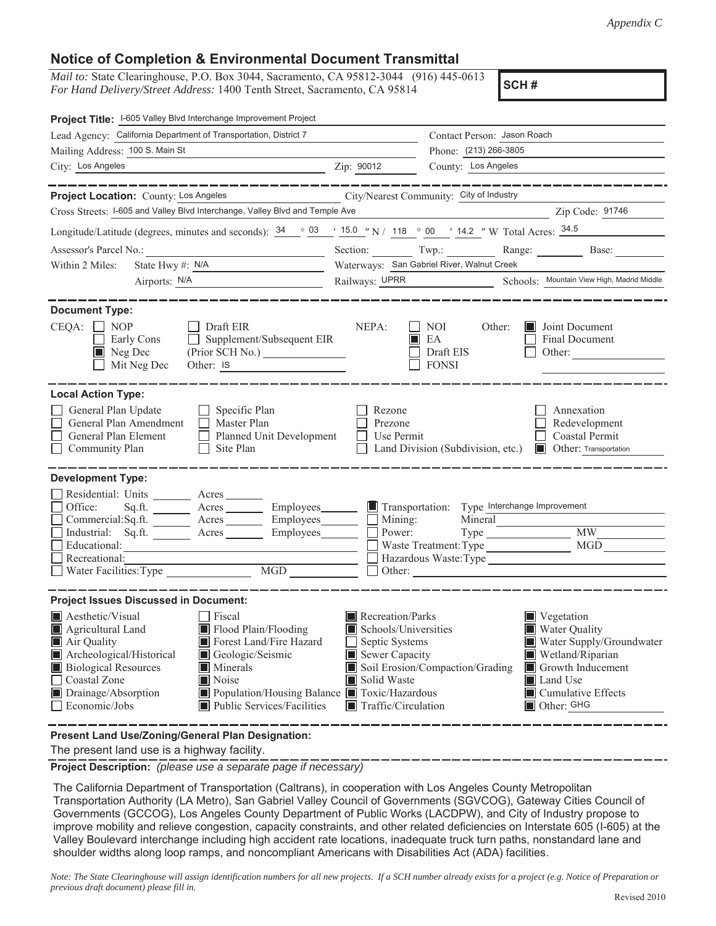## **Notice of Completion & Environmental Document Transmittal**

*Mail to:* State Clearinghouse, P.O. Box 3044, Sacramento, CA 95812-3044 (916) 445-0613 *For Hand Delivery/Street Address:* 1400 Tenth Street, Sacramento, CA 95814 **SCH #** 

| Project Title: I-605 Valley Blvd Interchange Improvement Project                                                                                                                                                                                                                                                                                                                                      |                                                                                                                                   |                                                                                                                    |                                                                                                                         |
|-------------------------------------------------------------------------------------------------------------------------------------------------------------------------------------------------------------------------------------------------------------------------------------------------------------------------------------------------------------------------------------------------------|-----------------------------------------------------------------------------------------------------------------------------------|--------------------------------------------------------------------------------------------------------------------|-------------------------------------------------------------------------------------------------------------------------|
| Lead Agency: California Department of Transportation, District 7                                                                                                                                                                                                                                                                                                                                      |                                                                                                                                   | Contact Person: Jason Roach                                                                                        |                                                                                                                         |
| Mailing Address: 100 S. Main St                                                                                                                                                                                                                                                                                                                                                                       |                                                                                                                                   | Phone: (213) 266-3805<br>County: Los Angeles                                                                       |                                                                                                                         |
| City: Los Angeles<br>$\overline{2ip}$ : 90012                                                                                                                                                                                                                                                                                                                                                         |                                                                                                                                   |                                                                                                                    |                                                                                                                         |
| ________<br>Project Location: County: Los Angeles<br>Cross Streets: I-605 and Valley Blvd Interchange, Valley Blvd and Temple Ave                                                                                                                                                                                                                                                                     |                                                                                                                                   | City/Nearest Community: City of Industry                                                                           | -------------<br>Zip Code: 91746                                                                                        |
| Longitude/Latitude (degrees, minutes and seconds): $\frac{34}{9}$ $\frac{03}{150}$ $\frac{15.0}{150}$ N / 118 $\degree$ 00 $\degree$ 14.2 "W Total Acres: $\frac{34.5}{150}$                                                                                                                                                                                                                          |                                                                                                                                   |                                                                                                                    |                                                                                                                         |
|                                                                                                                                                                                                                                                                                                                                                                                                       |                                                                                                                                   | Section: Twp.: Range: Base:                                                                                        |                                                                                                                         |
| State Hwy #: N/A<br>Within 2 Miles:                                                                                                                                                                                                                                                                                                                                                                   |                                                                                                                                   | Waterways: San Gabriel River, Walnut Creek                                                                         |                                                                                                                         |
| Airports: N/A<br><u> 1989 - Johann Barbara, martxa al III-lea (h. 1974).</u>                                                                                                                                                                                                                                                                                                                          |                                                                                                                                   | Railways: UPRR Schools: Mountain View High, Madrid Middle                                                          |                                                                                                                         |
| <b>Document Type:</b><br>$CEQA: \Box NP$<br>Draft EIR<br>Supplement/Subsequent EIR<br>Early Cons<br>$\blacksquare$ Neg Dec<br>(Prior SCH No.)<br>Mit Neg Dec<br>Other: IS                                                                                                                                                                                                                             | NEPA:                                                                                                                             | NOI<br>Other:<br>EA<br>Draft EIS<br><b>FONSI</b>                                                                   | <b>Joint Document</b><br>Final Document<br>Other:                                                                       |
| <b>Local Action Type:</b>                                                                                                                                                                                                                                                                                                                                                                             |                                                                                                                                   |                                                                                                                    |                                                                                                                         |
| General Plan Update<br>Specific Plan<br>General Plan Amendment<br>$\Box$ Master Plan<br>Planned Unit Development<br>General Plan Element<br>Site Plan<br>Community Plan                                                                                                                                                                                                                               | Rezone<br>Prezone<br>Use Permit                                                                                                   | Land Division (Subdivision, etc.)                                                                                  | Annexation<br>Redevelopment<br>Coastal Permit<br><b>I</b> Other: Transportation                                         |
| <b>Development Type:</b><br>Residential: Units ________ Acres _______<br>Office:<br>Sq.ft. _________ Acres __________ Employees________<br>Commercial:Sq.ft. ________ Acres _________ Employees_______<br>Industrial: Sq.ft. ________ Acres _______<br>Employees________<br>Educational:<br>Recreational:<br>MGD<br>Water Facilities: Type                                                            | Mining:<br>Power:                                                                                                                 | Transportation: Type Interchange Improvement<br>Mineral<br>Waste Treatment: Type<br>Hazardous Waste:Type<br>Other: | MW<br><b>MGD</b>                                                                                                        |
| <b>Project Issues Discussed in Document:</b>                                                                                                                                                                                                                                                                                                                                                          |                                                                                                                                   |                                                                                                                    |                                                                                                                         |
| $\blacksquare$ Aesthetic/Visual<br>$\Box$ Fiscal<br>Flood Plain/Flooding<br>Agricultural Land<br>Air Quality<br>Forest Land/Fire Hazard<br>Archeological/Historical<br>Geologic/Seismic<br><b>Biological Resources</b><br><b>Minerals</b><br>Coastal Zone<br>Noise<br>Drainage/Absorption<br>Population/Housing Balance Toxic/Hazardous<br>Economic/Jobs<br>$\blacksquare$ Public Services/Facilities | Recreation/Parks<br>Schools/Universities<br>Septic Systems<br>Sewer Capacity<br>Solid Waste<br>$\blacksquare$ Traffic/Circulation | Vegetation<br>Soil Erosion/Compaction/Grading<br>Land Use<br>Other: GHG                                            | Water Quality<br>Water Supply/Groundwater<br>Wetland/Riparian<br>Growth Inducement<br>$\blacksquare$ Cumulative Effects |

**Present Land Use/Zoning/General Plan Designation:** 

The present land use is a highway facility.

**Project Description:** *(please use a separate page if necessary)* 

 The California Department of Transportation (Caltrans), in cooperation with Los Angeles County Metropolitan Transportation Authority (LA Metro), San Gabriel Valley Council of Governments (SGVCOG), Gateway Cities Council of Governments (GCCOG), Los Angeles County Department of Public Works (LACDPW), and City of Industry propose to improve mobility and relieve congestion, capacity constraints, and other related deficiencies on Interstate 605 (I-605) at the Valley Boulevard interchange including high accident rate locations, inadequate truck turn paths, nonstandard lane and shoulder widths along loop ramps, and noncompliant Americans with Disabilities Act (ADA) facilities.

 *Note: The State Clearinghouse will assign identification numbers for all new projects. If a SCH number already exists for a project (e.g. Notice of Preparation or previous draft document) please fill in.*